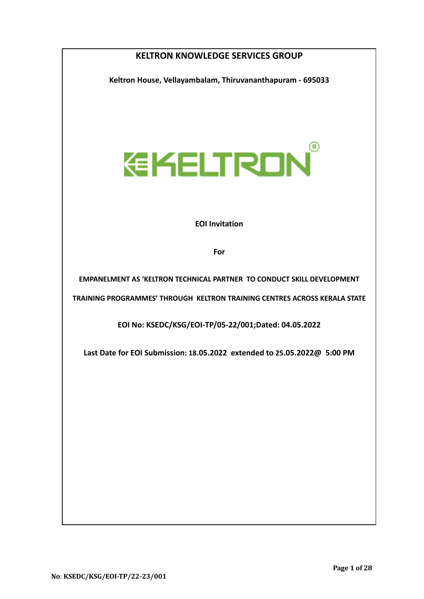| <b>KELTRON KNOWLEDGE SERVICES GROUP</b>                                       |  |  |  |  |  |  |
|-------------------------------------------------------------------------------|--|--|--|--|--|--|
| Keltron House, Vellayambalam, Thiruvananthapuram - 695033                     |  |  |  |  |  |  |
|                                                                               |  |  |  |  |  |  |
|                                                                               |  |  |  |  |  |  |
|                                                                               |  |  |  |  |  |  |
| <b>EKELTRON</b>                                                               |  |  |  |  |  |  |
|                                                                               |  |  |  |  |  |  |
|                                                                               |  |  |  |  |  |  |
| <b>EOI Invitation</b>                                                         |  |  |  |  |  |  |
| For                                                                           |  |  |  |  |  |  |
|                                                                               |  |  |  |  |  |  |
| <b>EMPANELMENT AS 'KELTRON TECHNICAL PARTNER TO CONDUCT SKILL DEVELOPMENT</b> |  |  |  |  |  |  |
| TRAINING PROGRAMMES' THROUGH KELTRON TRAINING CENTRES ACROSS KERALA STATE     |  |  |  |  |  |  |
| EOI No: KSEDC/KSG/EOI-TP/05-22/001;Dated: 04.05.2022                          |  |  |  |  |  |  |
| Last Date for EOI Submission: 18.05.2022 extended to 25.05.2022@ 5:00 PM      |  |  |  |  |  |  |
|                                                                               |  |  |  |  |  |  |
|                                                                               |  |  |  |  |  |  |
|                                                                               |  |  |  |  |  |  |
|                                                                               |  |  |  |  |  |  |
|                                                                               |  |  |  |  |  |  |
|                                                                               |  |  |  |  |  |  |
|                                                                               |  |  |  |  |  |  |
|                                                                               |  |  |  |  |  |  |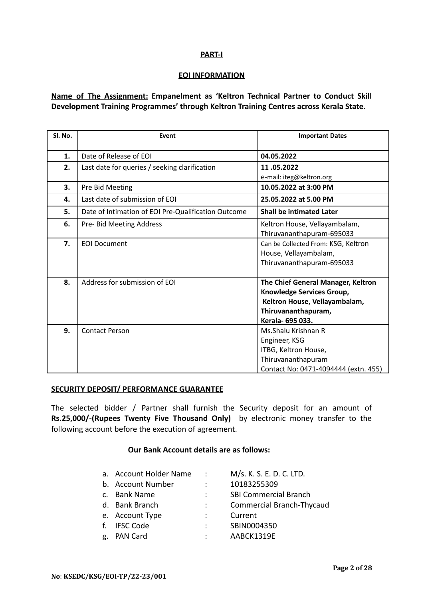# **PART-I**

#### **EOI INFORMATION**

**Name of The Assignment: Empanelment as 'Keltron Technical Partner to Conduct Skill Development Training Programmes' through Keltron Training Centres across Kerala State.**

| Sl. No. | Event                                               | <b>Important Dates</b>               |  |  |
|---------|-----------------------------------------------------|--------------------------------------|--|--|
| 1.      | Date of Release of FOL                              | 04.05.2022                           |  |  |
| 2.      | Last date for queries / seeking clarification       | 11.05.2022                           |  |  |
|         |                                                     | e-mail: iteg@keltron.org             |  |  |
| 3.      | Pre Bid Meeting                                     | 10.05.2022 at 3:00 PM                |  |  |
| 4.      | Last date of submission of EOI                      | 25.05.2022 at 5.00 PM                |  |  |
| 5.      | Date of Intimation of EOI Pre-Qualification Outcome | <b>Shall be intimated Later</b>      |  |  |
| 6.      | Pre- Bid Meeting Address                            | Keltron House, Vellayambalam,        |  |  |
|         |                                                     | Thiruvananthapuram-695033            |  |  |
| 7.      | <b>EOI Document</b>                                 | Can be Collected From: KSG, Keltron  |  |  |
|         |                                                     | House, Vellayambalam,                |  |  |
|         |                                                     | Thiruvananthapuram-695033            |  |  |
| 8.      | Address for submission of EOI                       | The Chief General Manager, Keltron   |  |  |
|         |                                                     | Knowledge Services Group,            |  |  |
|         |                                                     | Keltron House, Vellayambalam,        |  |  |
|         |                                                     | Thiruvananthapuram,                  |  |  |
|         |                                                     | Kerala- 695 033.                     |  |  |
| 9.      | <b>Contact Person</b>                               | Ms. Shalu Krishnan R                 |  |  |
|         |                                                     | Engineer, KSG                        |  |  |
|         |                                                     | ITBG, Keltron House,                 |  |  |
|         |                                                     | Thiruvananthapuram                   |  |  |
|         |                                                     | Contact No: 0471-4094444 (extn. 455) |  |  |

# **SECURITY DEPOSIT/ PERFORMANCE GUARANTEE**

The selected bidder / Partner shall furnish the Security deposit for an amount of **Rs.25,000/-(Rupees Twenty Five Thousand Only)** by electronic money transfer to the following account before the execution of agreement.

# **Our Bank Account details are as follows:**

|    | a. Account Holder Name | $\mathcal{L}$ | M/s. K. S. E. D. C. LTD.         |
|----|------------------------|---------------|----------------------------------|
|    | b. Account Number      | ÷             | 10183255309                      |
|    | c. Bank Name           | ÷             | <b>SBI Commercial Branch</b>     |
|    | d. Bank Branch         |               | <b>Commercial Branch-Thycaud</b> |
|    | e. Account Type        |               | Current                          |
|    | f. IFSC Code           |               | SBIN0004350                      |
| g. | PAN Card               |               | AABCK1319E                       |
|    |                        |               |                                  |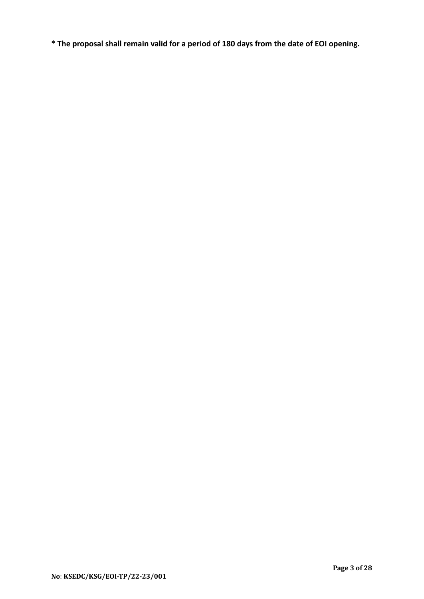**\* The proposal shall remain valid for a period of 180 days from the date of EOI opening.**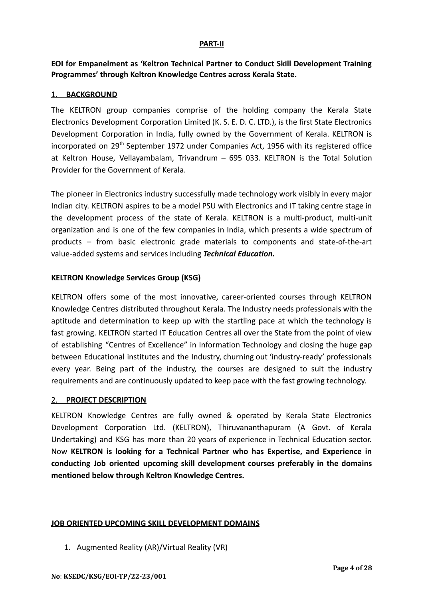#### **PART-II**

**EOI for Empanelment as 'Keltron Technical Partner to Conduct Skill Development Training Programmes' through Keltron Knowledge Centres across Kerala State.**

## 1. **BACKGROUND**

The KELTRON group companies comprise of the holding company the Kerala State Electronics Development Corporation Limited (K. S. E. D. C. LTD.), is the first State Electronics Development Corporation in India, fully owned by the Government of Kerala. KELTRON is incorporated on 29<sup>th</sup> September 1972 under Companies Act, 1956 with its registered office at Keltron House, Vellayambalam, Trivandrum – 695 033. KELTRON is the Total Solution Provider for the Government of Kerala.

The pioneer in Electronics industry successfully made technology work visibly in every major Indian city. KELTRON aspires to be a model PSU with Electronics and IT taking centre stage in the development process of the state of Kerala. KELTRON is a multi-product, multi-unit organization and is one of the few companies in India, which presents a wide spectrum of products – from basic electronic grade materials to components and state-of-the-art value-added systems and services including *Technical Education.*

## **KELTRON Knowledge Services Group (KSG)**

KELTRON offers some of the most innovative, career-oriented courses through KELTRON Knowledge Centres distributed throughout Kerala. The Industry needs professionals with the aptitude and determination to keep up with the startling pace at which the technology is fast growing. KELTRON started IT Education Centres all over the State from the point of view of establishing "Centres of Excellence" in Information Technology and closing the huge gap between Educational institutes and the Industry, churning out 'industry-ready' professionals every year. Being part of the industry, the courses are designed to suit the industry requirements and are continuously updated to keep pace with the fast growing technology.

#### 2. **PROJECT DESCRIPTION**

KELTRON Knowledge Centres are fully owned & operated by Kerala State Electronics Development Corporation Ltd. (KELTRON), Thiruvananthapuram (A Govt. of Kerala Undertaking) and KSG has more than 20 years of experience in Technical Education sector. Now **KELTRON is looking for a Technical Partner who has Expertise, and Experience in conducting Job oriented upcoming skill development courses preferably in the domains mentioned below through Keltron Knowledge Centres.**

#### **JOB ORIENTED UPCOMING SKILL DEVELOPMENT DOMAINS**

1. Augmented Reality (AR)/Virtual Reality (VR)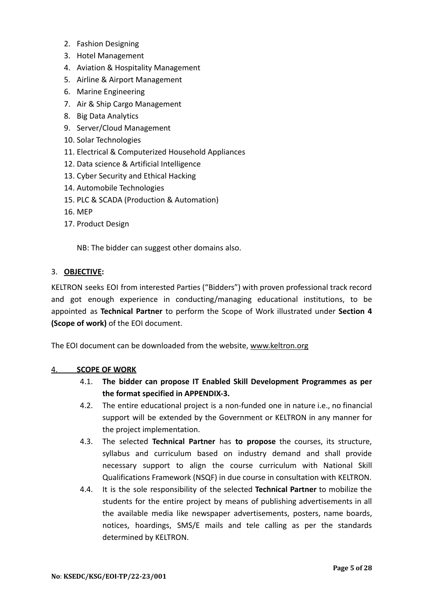- 2. Fashion Designing
- 3. Hotel Management
- 4. Aviation & Hospitality Management
- 5. Airline & Airport Management
- 6. Marine Engineering
- 7. Air & Ship Cargo Management
- 8. Big Data Analytics
- 9. Server/Cloud Management
- 10. Solar Technologies
- 11. Electrical & Computerized Household Appliances
- 12. Data science & Artificial Intelligence
- 13. Cyber Security and Ethical Hacking
- 14. Automobile Technologies
- 15. PLC & SCADA (Production & Automation)
- 16. MEP
- 17. Product Design

NB: The bidder can suggest other domains also.

# 3. **OBJECTIVE:**

KELTRON seeks EOI from interested Parties ("Bidders") with proven professional track record and got enough experience in conducting/managing educational institutions, to be appointed as **Technical Partner** to perform the Scope of Work illustrated under **Section 4 (Scope of work)** of the EOI document.

The EOI document can be downloaded from the website, [www.keltron.org](http://www.keltron.org)

# 4. **SCOPE OF WORK**

- 4.1. **The bidder can propose IT Enabled Skill Development Programmes as per the format specified in APPENDIX-3.**
- 4.2. The entire educational project is a non-funded one in nature i.e., no financial support will be extended by the Government or KELTRON in any manner for the project implementation.
- 4.3. The selected **Technical Partner** has **to propose** the courses, its structure, syllabus and curriculum based on industry demand and shall provide necessary support to align the course curriculum with National Skill Qualifications Framework (NSQF) in due course in consultation with KELTRON.
- 4.4. It is the sole responsibility of the selected **Technical Partner** to mobilize the students for the entire project by means of publishing advertisements in all the available media like newspaper advertisements, posters, name boards, notices, hoardings, SMS/E mails and tele calling as per the standards determined by KELTRON.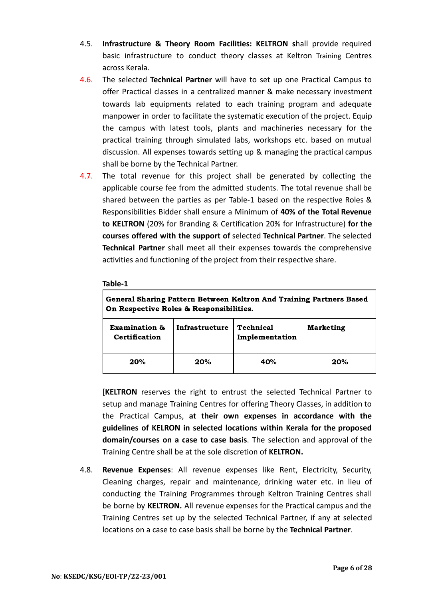- 4.5. **Infrastructure & Theory Room Facilities: KELTRON s**hall provide required basic infrastructure to conduct theory classes at Keltron Training Centres across Kerala.
- 4.6. The selected **Technical Partner** will have to set up one Practical Campus to offer Practical classes in a centralized manner & make necessary investment towards lab equipments related to each training program and adequate manpower in order to facilitate the systematic execution of the project. Equip the campus with latest tools, plants and machineries necessary for the practical training through simulated labs, workshops etc. based on mutual discussion. All expenses towards setting up & managing the practical campus shall be borne by the Technical Partner.
- 4.7. The total revenue for this project shall be generated by collecting the applicable course fee from the admitted students. The total revenue shall be shared between the parties as per Table-1 based on the respective Roles & Responsibilities Bidder shall ensure a Minimum of **40% of the Total Revenue to KELTRON** (20% for Branding & Certification 20% for Infrastructure) **for the courses offered with the support of** selected **Technical Partner**. The selected **Technical Partner** shall meet all their expenses towards the comprehensive activities and functioning of the project from their respective share.

# **Table-1**

| General Sharing Pattern Between Keltron And Training Partners Based<br>On Respective Roles & Responsibilities. |                |                             |                  |  |  |
|----------------------------------------------------------------------------------------------------------------|----------------|-----------------------------|------------------|--|--|
| Examination &<br>Certification                                                                                 | Infrastructure | Technical<br>Implementation | <b>Marketing</b> |  |  |
| 20%                                                                                                            | 20%            | 40%                         | 20%              |  |  |

[**KELTRON** reserves the right to entrust the selected Technical Partner to setup and manage Training Centres for offering Theory Classes, in addition to the Practical Campus, **at their own expenses in accordance with the guidelines of KELRON in selected locations within Kerala for the proposed domain/courses on a case to case basis**. The selection and approval of the Training Centre shall be at the sole discretion of **KELTRON.**

4.8. **Revenue Expenses**: All revenue expenses like Rent, Electricity, Security, Cleaning charges, repair and maintenance, drinking water etc. in lieu of conducting the Training Programmes through Keltron Training Centres shall be borne by **KELTRON.** All revenue expenses for the Practical campus and the Training Centres set up by the selected Technical Partner, if any at selected locations on a case to case basis shall be borne by the **Technical Partner**.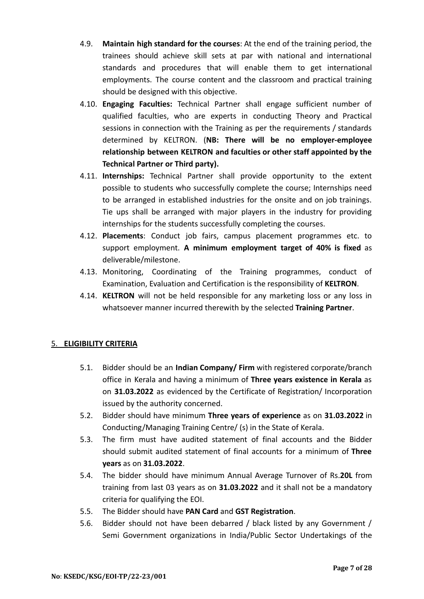- 4.9. **Maintain high standard for the courses**: At the end of the training period, the trainees should achieve skill sets at par with national and international standards and procedures that will enable them to get international employments. The course content and the classroom and practical training should be designed with this objective.
- 4.10. **Engaging Faculties:** Technical Partner shall engage sufficient number of qualified faculties, who are experts in conducting Theory and Practical sessions in connection with the Training as per the requirements / standards determined by KELTRON. (**NB: There will be no employer-employee relationship between KELTRON and faculties or other staff appointed by the Technical Partner or Third party).**
- 4.11. **Internships:** Technical Partner shall provide opportunity to the extent possible to students who successfully complete the course; Internships need to be arranged in established industries for the onsite and on job trainings. Tie ups shall be arranged with major players in the industry for providing internships for the students successfully completing the courses.
- 4.12. **Placements**: Conduct job fairs, campus placement programmes etc. to support employment. **A minimum employment target of 40% is fixed** as deliverable/milestone.
- 4.13. Monitoring, Coordinating of the Training programmes, conduct of Examination, Evaluation and Certification is the responsibility of **KELTRON**.
- 4.14. **KELTRON** will not be held responsible for any marketing loss or any loss in whatsoever manner incurred therewith by the selected **Training Partner**.

# 5. **ELIGIBILITY CRITERIA**

- 5.1. Bidder should be an **Indian Company/ Firm** with registered corporate/branch office in Kerala and having a minimum of **Three years existence in Kerala** as on **31.03.2022** as evidenced by the Certificate of Registration/ Incorporation issued by the authority concerned.
- 5.2. Bidder should have minimum **Three years of experience** as on **31.03.2022** in Conducting/Managing Training Centre/ (s) in the State of Kerala.
- 5.3. The firm must have audited statement of final accounts and the Bidder should submit audited statement of final accounts for a minimum of **Three years** as on **31.03.2022**.
- 5.4. The bidder should have minimum Annual Average Turnover of Rs.**20L** from training from last 03 years as on **31.03.2022** and it shall not be a mandatory criteria for qualifying the EOI.
- 5.5. The Bidder should have **PAN Card** and **GST Registration**.
- 5.6. Bidder should not have been debarred / black listed by any Government / Semi Government organizations in India/Public Sector Undertakings of the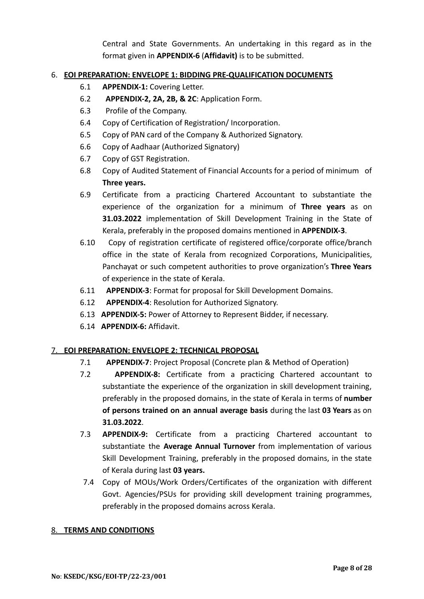Central and State Governments. An undertaking in this regard as in the format given in **APPENDIX-6** (**Affidavit)** is to be submitted.

# 6. **EOI PREPARATION: ENVELOPE 1: BIDDING PRE-QUALIFICATION DOCUMENTS**

- 6.1 **APPENDIX-1:** Covering Letter.
- 6.2 **APPENDIX-2, 2A, 2B, & 2C**: Application Form.
- 6.3 Profile of the Company.
- 6.4 Copy of Certification of Registration/ Incorporation.
- 6.5 Copy of PAN card of the Company & Authorized Signatory.
- 6.6 Copy of Aadhaar (Authorized Signatory)
- 6.7 Copy of GST Registration.
- 6.8 Copy of Audited Statement of Financial Accounts for a period of minimum of **Three years.**
- 6.9 Certificate from a practicing Chartered Accountant to substantiate the experience of the organization for a minimum of **Three years** as on **31.03.2022** implementation of Skill Development Training in the State of Kerala, preferably in the proposed domains mentioned in **APPENDIX-3**.
- 6.10 Copy of registration certificate of registered office/corporate office/branch office in the state of Kerala from recognized Corporations, Municipalities, Panchayat or such competent authorities to prove organization's **Three Years** of experience in the state of Kerala.
- 6.11 **APPENDIX-3**: Format for proposal for Skill Development Domains.
- 6.12 **APPENDIX-4**: Resolution for Authorized Signatory.
- 6.13 **APPENDIX-5:** Power of Attorney to Represent Bidder, if necessary.
- 6.14 **APPENDIX-6:** Affidavit.

# 7. **EOI PREPARATION: ENVELOPE 2: TECHNICAL PROPOSAL**

- 7.1 **APPENDIX-7**: Project Proposal (Concrete plan & Method of Operation)
- 7.2 **APPENDIX-8:** Certificate from a practicing Chartered accountant to substantiate the experience of the organization in skill development training, preferably in the proposed domains, in the state of Kerala in terms of **number of persons trained on an annual average basis** during the last **03 Years** as on **31.03.2022**.
- 7.3 **APPENDIX-9:** Certificate from a practicing Chartered accountant to substantiate the **Average Annual Turnover** from implementation of various Skill Development Training, preferably in the proposed domains, in the state of Kerala during last **03 years.**
- 7.4 Copy of MOUs/Work Orders/Certificates of the organization with different Govt. Agencies/PSUs for providing skill development training programmes, preferably in the proposed domains across Kerala.

# 8. **TERMS AND CONDITIONS**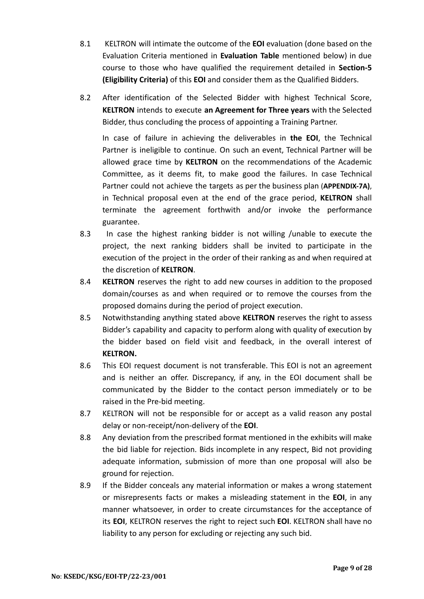- 8.1 KELTRON will intimate the outcome of the **EOI** evaluation (done based on the Evaluation Criteria mentioned in **Evaluation Table** mentioned below) in due course to those who have qualified the requirement detailed in **Section-5 (Eligibility Criteria)** of this **EOI** and consider them as the Qualified Bidders.
- 8.2 After identification of the Selected Bidder with highest Technical Score, **KELTRON** intends to execute **an Agreement for Three years** with the Selected Bidder, thus concluding the process of appointing a Training Partner.

In case of failure in achieving the deliverables in **the EOI**, the Technical Partner is ineligible to continue. On such an event, Technical Partner will be allowed grace time by **KELTRON** on the recommendations of the Academic Committee, as it deems fit, to make good the failures. In case Technical Partner could not achieve the targets as per the business plan (**APPENDIX-7A)**, in Technical proposal even at the end of the grace period, **KELTRON** shall terminate the agreement forthwith and/or invoke the performance guarantee.

- 8.3 In case the highest ranking bidder is not willing /unable to execute the project, the next ranking bidders shall be invited to participate in the execution of the project in the order of their ranking as and when required at the discretion of **KELTRON**.
- 8.4 **KELTRON** reserves the right to add new courses in addition to the proposed domain/courses as and when required or to remove the courses from the proposed domains during the period of project execution.
- 8.5 Notwithstanding anything stated above **KELTRON** reserves the right to assess Bidder's capability and capacity to perform along with quality of execution by the bidder based on field visit and feedback, in the overall interest of **KELTRON.**
- 8.6 This EOI request document is not transferable. This EOI is not an agreement and is neither an offer. Discrepancy, if any, in the EOI document shall be communicated by the Bidder to the contact person immediately or to be raised in the Pre-bid meeting.
- 8.7 KELTRON will not be responsible for or accept as a valid reason any postal delay or non-receipt/non-delivery of the **EOI**.
- 8.8 Any deviation from the prescribed format mentioned in the exhibits will make the bid liable for rejection. Bids incomplete in any respect, Bid not providing adequate information, submission of more than one proposal will also be ground for rejection.
- 8.9 If the Bidder conceals any material information or makes a wrong statement or misrepresents facts or makes a misleading statement in the **EOI**, in any manner whatsoever, in order to create circumstances for the acceptance of its **EOI**, KELTRON reserves the right to reject such **EOI**. KELTRON shall have no liability to any person for excluding or rejecting any such bid.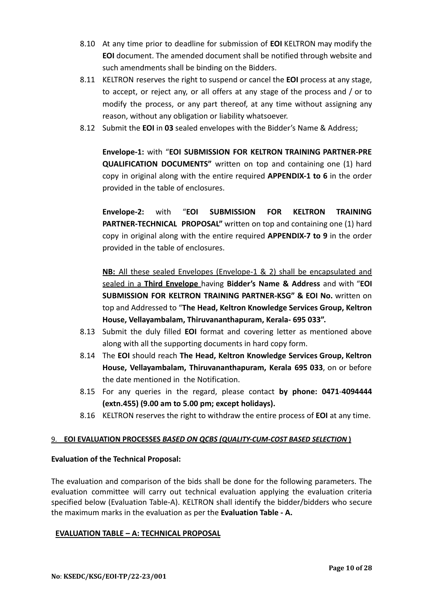- 8.10 At any time prior to deadline for submission of **EOI** KELTRON may modify the **EOI** document. The amended document shall be notified through website and such amendments shall be binding on the Bidders.
- 8.11 KELTRON reserves the right to suspend or cancel the **EOI** process at any stage, to accept, or reject any, or all offers at any stage of the process and / or to modify the process, or any part thereof, at any time without assigning any reason, without any obligation or liability whatsoever.
- 8.12 Submit the **EOI** in **03** sealed envelopes with the Bidder's Name & Address;

**Envelope-1:** with "**EOI SUBMISSION FOR KELTRON TRAINING PARTNER-PRE QUALIFICATION DOCUMENTS"** written on top and containing one (1) hard copy in original along with the entire required **APPENDIX-1 to 6** in the order provided in the table of enclosures.

**Envelope-2:** with "**EOI SUBMISSION FOR KELTRON TRAINING PARTNER-TECHNICAL PROPOSAL"** written on top and containing one (1) hard copy in original along with the entire required **APPENDIX-7 to 9** in the order provided in the table of enclosures.

**NB:** All these sealed Envelopes (Envelope-1 & 2) shall be encapsulated and sealed in a **Third Envelope** having **Bidder's Name & Address** and with "**EOI SUBMISSION FOR KELTRON TRAINING PARTNER-KSG" & EOI No.** written on top and Addressed to "**The Head, Keltron Knowledge Services Group, Keltron House, Vellayambalam, Thiruvananthapuram, Kerala- 695 033".**

- 8.13 Submit the duly filled **EOI** format and covering letter as mentioned above along with all the supporting documents in hard copy form.
- 8.14 The **EOI** should reach **The Head, Keltron Knowledge Services Group, Keltron House, Vellayambalam, Thiruvananthapuram, Kerala 695 033**, on or before the date mentioned in the Notification.
- 8.15 For any queries in the regard, please contact **by phone: 0471**-**4094444 (extn.455) (9.00 am to 5.00 pm; except holidays).**
- 8.16 KELTRON reserves the right to withdraw the entire process of **EOI** at any time.

# 9. **EOI EVALUATION PROCESSES** *BASED ON QCBS (QUALITY-CUM-COST BASED SELECTION* **)**

# **Evaluation of the Technical Proposal:**

The evaluation and comparison of the bids shall be done for the following parameters. The evaluation committee will carry out technical evaluation applying the evaluation criteria specified below (Evaluation Table-A). KELTRON shall identify the bidder/bidders who secure the maximum marks in the evaluation as per the **Evaluation Table - A.**

# **EVALUATION TABLE – A: TECHNICAL PROPOSAL**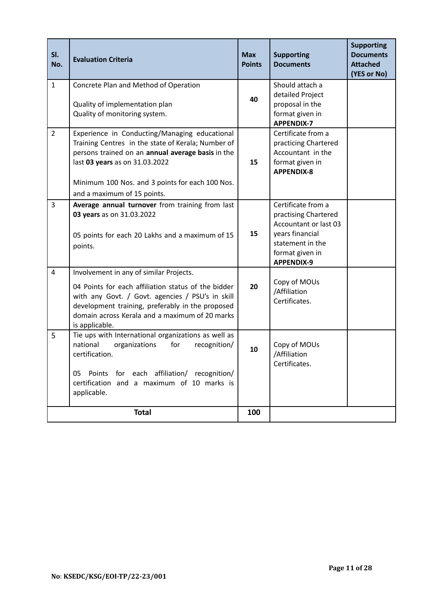| SI.<br>No.     | <b>Evaluation Criteria</b>                                                                                                                                                                                                                                                   | <b>Max</b><br><b>Points</b> | <b>Supporting</b><br><b>Documents</b>                                                                                                              | <b>Supporting</b><br><b>Documents</b><br><b>Attached</b><br>(YES or No) |
|----------------|------------------------------------------------------------------------------------------------------------------------------------------------------------------------------------------------------------------------------------------------------------------------------|-----------------------------|----------------------------------------------------------------------------------------------------------------------------------------------------|-------------------------------------------------------------------------|
| $\mathbf{1}$   | Concrete Plan and Method of Operation<br>Quality of implementation plan<br>Quality of monitoring system.                                                                                                                                                                     | 40                          | Should attach a<br>detailed Project<br>proposal in the<br>format given in<br><b>APPENDIX-7</b>                                                     |                                                                         |
| $\overline{2}$ | Experience in Conducting/Managing educational<br>Training Centres in the state of Kerala; Number of<br>persons trained on an annual average basis in the<br>last 03 years as on 31.03.2022<br>Minimum 100 Nos. and 3 points for each 100 Nos.<br>and a maximum of 15 points. | 15                          | Certificate from a<br>practicing Chartered<br>Accountant in the<br>format given in<br><b>APPENDIX-8</b>                                            |                                                                         |
| $\overline{3}$ | Average annual turnover from training from last<br>03 years as on 31.03.2022<br>05 points for each 20 Lakhs and a maximum of 15<br>points.                                                                                                                                   | 15                          | Certificate from a<br>practising Chartered<br>Accountant or last 03<br>years financial<br>statement in the<br>format given in<br><b>APPENDIX-9</b> |                                                                         |
| $\overline{4}$ | Involvement in any of similar Projects.<br>04 Points for each affiliation status of the bidder<br>with any Govt. / Govt. agencies / PSU's in skill<br>development training, preferably in the proposed<br>domain across Kerala and a maximum of 20 marks<br>is applicable.   | 20                          | Copy of MOUs<br>/Affiliation<br>Certificates.                                                                                                      |                                                                         |
| 5              | Tie ups with International organizations as well as<br>national<br>organizations<br>for<br>recognition/<br>certification.<br>for each affiliation/ recognition/<br>05 Points<br>certification and a maximum of 10 marks is<br>applicable.                                    | 10                          | Copy of MOUs<br>/Affiliation<br>Certificates.                                                                                                      |                                                                         |
|                | <b>Total</b>                                                                                                                                                                                                                                                                 | 100                         |                                                                                                                                                    |                                                                         |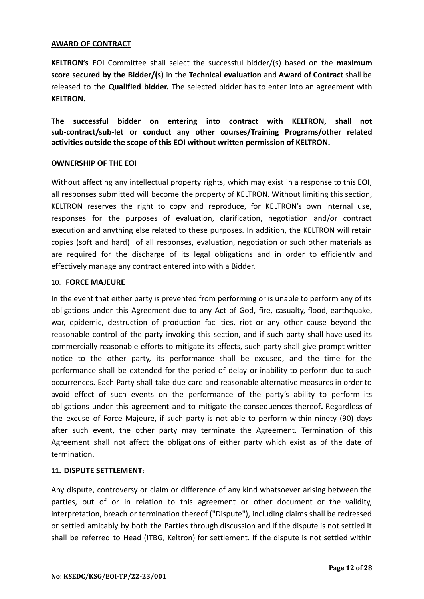### **AWARD OF CONTRACT**

**KELTRON's** EOI Committee shall select the successful bidder/(s) based on the **maximum score secured by the Bidder/(s)** in the **Technical evaluation** and **Award of Contract** shall be released to the **Qualified bidder.** The selected bidder has to enter into an agreement with **KELTRON.**

**The successful bidder on entering into contract with KELTRON, shall not sub-contract/sub-let or conduct any other courses/Training Programs/other related activities outside the scope of this EOI without written permission of KELTRON.**

#### **OWNERSHIP OF THE EOI**

Without affecting any intellectual property rights, which may exist in a response to this **EOI**, all responses submitted will become the property of KELTRON. Without limiting this section, KELTRON reserves the right to copy and reproduce, for KELTRON's own internal use, responses for the purposes of evaluation, clarification, negotiation and/or contract execution and anything else related to these purposes. In addition, the KELTRON will retain copies (soft and hard) of all responses, evaluation, negotiation or such other materials as are required for the discharge of its legal obligations and in order to efficiently and effectively manage any contract entered into with a Bidder.

## 10. **FORCE MAJEURE**

In the event that either party is prevented from performing or is unable to perform any of its obligations under this Agreement due to any Act of God, fire, casualty, flood, earthquake, war, epidemic, destruction of production facilities, riot or any other cause beyond the reasonable control of the party invoking this section, and if such party shall have used its commercially reasonable efforts to mitigate its effects, such party shall give prompt written notice to the other party, its performance shall be excused, and the time for the performance shall be extended for the period of delay or inability to perform due to such occurrences. Each Party shall take due care and reasonable alternative measures in order to avoid effect of such events on the performance of the party's ability to perform its obligations under this agreement and to mitigate the consequences thereof**.** Regardless of the excuse of Force Majeure, if such party is not able to perform within ninety (90) days after such event, the other party may terminate the Agreement. Termination of this Agreement shall not affect the obligations of either party which exist as of the date of termination.

# **11. DISPUTE SETTLEMENT:**

Any dispute, controversy or claim or difference of any kind whatsoever arising between the parties, out of or in relation to this agreement or other document or the validity, interpretation, breach or termination thereof ("Dispute"), including claims shall be redressed or settled amicably by both the Parties through discussion and if the dispute is not settled it shall be referred to Head (ITBG, Keltron) for settlement. If the dispute is not settled within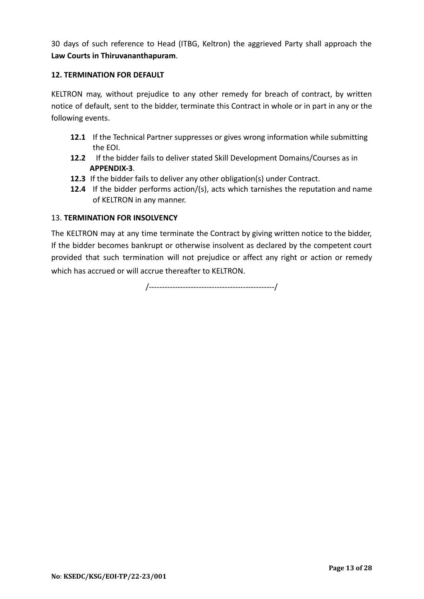30 days of such reference to Head (ITBG, Keltron) the aggrieved Party shall approach the **Law Courts in Thiruvananthapuram**.

# **12. TERMINATION FOR DEFAULT**

KELTRON may, without prejudice to any other remedy for breach of contract, by written notice of default, sent to the bidder, terminate this Contract in whole or in part in any or the following events.

- **12.1** If the Technical Partner suppresses or gives wrong information while submitting the EOI.
- **12.2** If the bidder fails to deliver stated Skill Development Domains/Courses as in **APPENDIX-3**.
- **12.3** If the bidder fails to deliver any other obligation(s) under Contract.
- **12.4** If the bidder performs action/(s), acts which tarnishes the reputation and name of KELTRON in any manner.

# 13. **TERMINATION FOR INSOLVENCY**

The KELTRON may at any time terminate the Contract by giving written notice to the bidder, If the bidder becomes bankrupt or otherwise insolvent as declared by the competent court provided that such termination will not prejudice or affect any right or action or remedy which has accrued or will accrue thereafter to KELTRON.

/------------------------------------------------/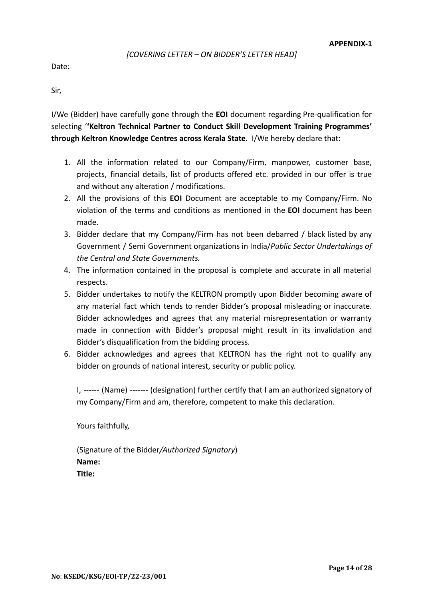## *[COVERING LETTER – ON BIDDER'S LETTER HEAD]*

Date:

Sir,

I/We (Bidder) have carefully gone through the **EOI** document regarding Pre-qualification for selecting '**'Keltron Technical Partner to Conduct Skill Development Training Programmes' through Keltron Knowledge Centres across Kerala State**. I/We hereby declare that:

- 1. All the information related to our Company/Firm, manpower, customer base, projects, financial details, list of products offered etc. provided in our offer is true and without any alteration / modifications.
- 2. All the provisions of this **EOI** Document are acceptable to my Company/Firm. No violation of the terms and conditions as mentioned in the **EOI** document has been made.
- 3. Bidder declare that my Company/Firm has not been debarred / black listed by any Government / Semi Government organizations in India/*Public Sector Undertakings of the Central and State Governments.*
- 4. The information contained in the proposal is complete and accurate in all material respects.
- 5. Bidder undertakes to notify the KELTRON promptly upon Bidder becoming aware of any material fact which tends to render Bidder's proposal misleading or inaccurate. Bidder acknowledges and agrees that any material misrepresentation or warranty made in connection with Bidder's proposal might result in its invalidation and Bidder's disqualification from the bidding process.
- 6. Bidder acknowledges and agrees that KELTRON has the right not to qualify any bidder on grounds of national interest, security or public policy.

I, ------ (Name) ------- (designation) further certify that I am an authorized signatory of my Company/Firm and am, therefore, competent to make this declaration.

Yours faithfully,

(Signature of the Bidder*/Authorized Signatory*) **Name: Title:**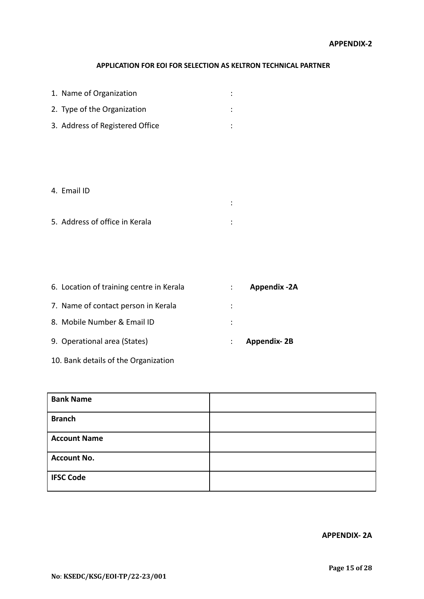## **APPLICATION FOR EOI FOR SELECTION AS KELTRON TECHNICAL PARTNER**

:

| 1. Name of Organization         |  |
|---------------------------------|--|
| 2. Type of the Organization     |  |
| 3. Address of Registered Office |  |

# 4. Email ID

| 5. Address of office in Kerala |  |
|--------------------------------|--|

| 6. Location of training centre in Kerala | <b>Appendix -2A</b> |
|------------------------------------------|---------------------|
| 7. Name of contact person in Kerala      |                     |
| 8. Mobile Number & Email ID              |                     |
| 9. Operational area (States)             | <b>Appendix-2B</b>  |

10. Bank details of the Organization

| <b>Bank Name</b>    |  |
|---------------------|--|
| <b>Branch</b>       |  |
| <b>Account Name</b> |  |
| <b>Account No.</b>  |  |
| <b>IFSC Code</b>    |  |

**APPENDIX- 2A**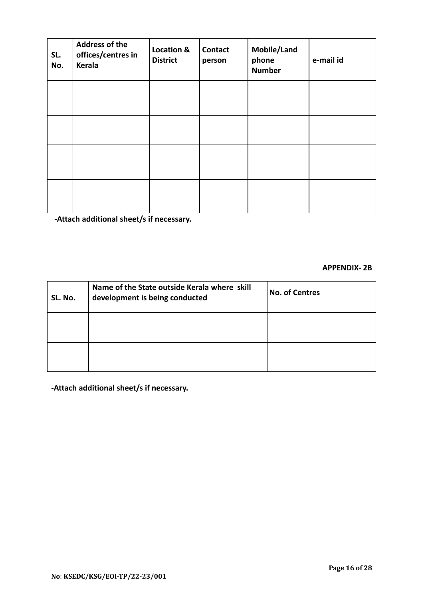| SL.<br>No. | <b>Address of the</b><br>offices/centres in<br>Kerala | <b>Location &amp;</b><br><b>District</b> | <b>Contact</b><br>person | Mobile/Land<br>phone<br><b>Number</b> | e-mail id |
|------------|-------------------------------------------------------|------------------------------------------|--------------------------|---------------------------------------|-----------|
|            |                                                       |                                          |                          |                                       |           |
|            |                                                       |                                          |                          |                                       |           |
|            |                                                       |                                          |                          |                                       |           |
|            |                                                       |                                          |                          |                                       |           |

**-Attach additional sheet/s if necessary.**

#### **APPENDIX- 2B**

| SL. No. | Name of the State outside Kerala where skill<br>development is being conducted | <b>No. of Centres</b> |
|---------|--------------------------------------------------------------------------------|-----------------------|
|         |                                                                                |                       |
|         |                                                                                |                       |

**-Attach additional sheet/s if necessary.**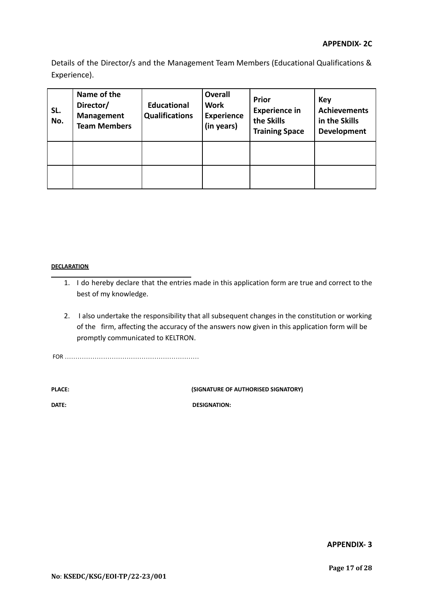Details of the Director/s and the Management Team Members (Educational Qualifications & Experience).

| SL.<br>No. | Name of the<br>Director/<br><b>Management</b><br><b>Team Members</b> | <b>Educational</b><br><b>Qualifications</b> | <b>Overall</b><br><b>Work</b><br><b>Experience</b><br>(in years) | <b>Prior</b><br><b>Experience in</b><br>the Skills<br><b>Training Space</b> | <b>Key</b><br><b>Achievements</b><br>in the Skills<br><b>Development</b> |
|------------|----------------------------------------------------------------------|---------------------------------------------|------------------------------------------------------------------|-----------------------------------------------------------------------------|--------------------------------------------------------------------------|
|            |                                                                      |                                             |                                                                  |                                                                             |                                                                          |
|            |                                                                      |                                             |                                                                  |                                                                             |                                                                          |

#### **DECLARATION**

- 1. I do hereby declare that the entries made in this application form are true and correct to the best of my knowledge.
- 2. I also undertake the responsibility that all subsequent changes in the constitution or working of the firm, affecting the accuracy of the answers now given in this application form will be promptly communicated to KELTRON.

FOR ………………………………………………………

**PLACE: (SIGNATURE OF AUTHORISED SIGNATORY)**

**DATE:** DESIGNATION:

**APPENDIX- 3**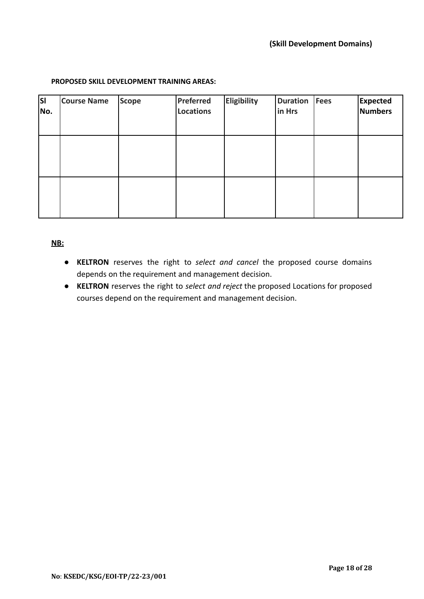## **PROPOSED SKILL DEVELOPMENT TRAINING AREAS:**

| <b>SI</b><br>No. | <b>Course Name</b> | <b>Scope</b> | Preferred<br><b>Locations</b> | <b>Eligibility</b> | <b>Duration</b><br>in Hrs | Fees | <b>Expected</b><br>Numbers |
|------------------|--------------------|--------------|-------------------------------|--------------------|---------------------------|------|----------------------------|
|                  |                    |              |                               |                    |                           |      |                            |
|                  |                    |              |                               |                    |                           |      |                            |

# **NB:**

- **KELTRON** reserves the right to *select and cancel* the proposed course domains depends on the requirement and management decision.
- **KELTRON** reserves the right to *select and reject* the proposed Locations for proposed courses depend on the requirement and management decision.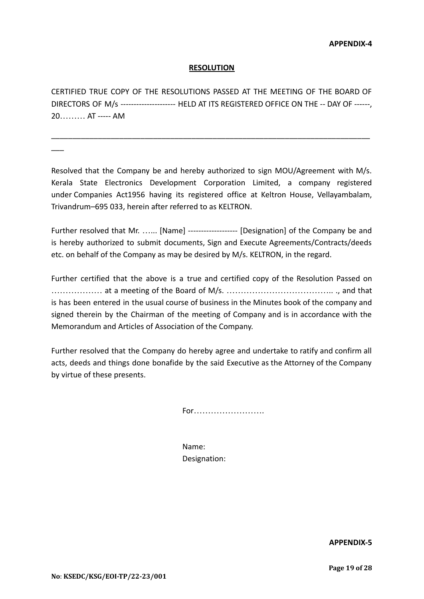## **RESOLUTION**

CERTIFIED TRUE COPY OF THE RESOLUTIONS PASSED AT THE MEETING OF THE BOARD OF DIRECTORS OF M/s --------------------- HELD AT ITS REGISTERED OFFICE ON THE -- DAY OF ------, 20……… AT ----- AM

\_\_\_\_\_\_\_\_\_\_\_\_\_\_\_\_\_\_\_\_\_\_\_\_\_\_\_\_\_\_\_\_\_\_\_\_\_\_\_\_\_\_\_\_\_\_\_\_\_\_\_\_\_\_\_\_\_\_\_\_\_\_\_\_\_\_\_\_\_\_\_\_\_\_\_

 $\overline{\phantom{a}}$ 

Resolved that the Company be and hereby authorized to sign MOU/Agreement with M/s. Kerala State Electronics Development Corporation Limited, a company registered under Companies Act1956 having its registered office at Keltron House, Vellayambalam, Trivandrum–695 033, herein after referred to as KELTRON.

Further resolved that Mr. …... [Name] ------------------- [Designation] of the Company be and is hereby authorized to submit documents, Sign and Execute Agreements/Contracts/deeds etc. on behalf of the Company as may be desired by M/s. KELTRON, in the regard.

Further certified that the above is a true and certified copy of the Resolution Passed on ……………… at a meeting of the Board of M/s. ……………………………….. ., and that is has been entered in the usual course of business in the Minutes book of the company and signed therein by the Chairman of the meeting of Company and is in accordance with the Memorandum and Articles of Association of the Company.

Further resolved that the Company do hereby agree and undertake to ratify and confirm all acts, deeds and things done bonafide by the said Executive as the Attorney of the Company by virtue of these presents.

For…………………….

Name: Designation:

**APPENDIX-5**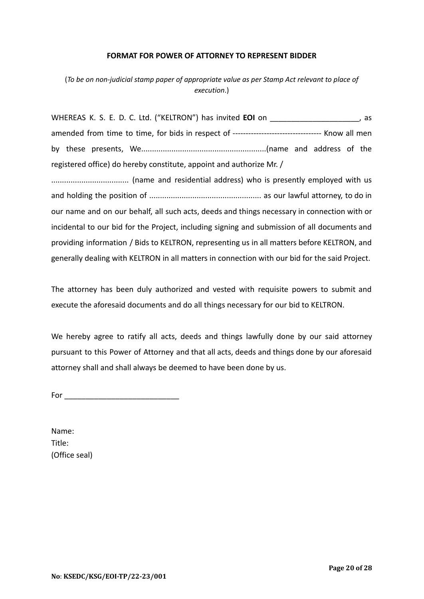#### **FORMAT FOR POWER OF ATTORNEY TO REPRESENT BIDDER**

(*To be on non-judicial stamp paper of appropriate value as per Stamp Act relevant to place of execution*.)

WHEREAS K. S. E. D. C. Ltd. ("KELTRON") has invited **EOI** on \_\_\_\_\_\_\_\_\_\_\_\_\_\_\_\_\_\_\_\_\_, as amended from time to time, for bids in respect of ---------------------------------- Know all men by these presents, We..........................................................(name and address of the registered office) do hereby constitute, appoint and authorize Mr. /

.................................... (name and residential address) who is presently employed with us and holding the position of .................................................... as our lawful attorney, to do in our name and on our behalf, all such acts, deeds and things necessary in connection with or incidental to our bid for the Project, including signing and submission of all documents and providing information / Bids to KELTRON, representing us in all matters before KELTRON, and generally dealing with KELTRON in all matters in connection with our bid for the said Project.

The attorney has been duly authorized and vested with requisite powers to submit and execute the aforesaid documents and do all things necessary for our bid to KELTRON.

We hereby agree to ratify all acts, deeds and things lawfully done by our said attorney pursuant to this Power of Attorney and that all acts, deeds and things done by our aforesaid attorney shall and shall always be deemed to have been done by us.

 $For$ 

Name: Title: (Office seal)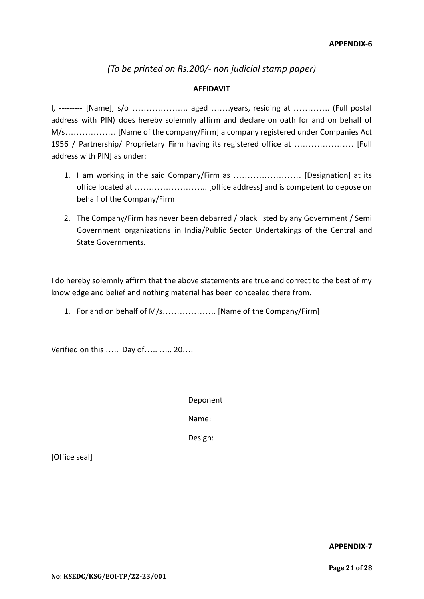*(To be printed on Rs.200/- non judicial stamp paper)*

# **AFFIDAVIT**

I, --------- [Name], s/o ………………., aged …….years, residing at …………. (Full postal address with PIN) does hereby solemnly affirm and declare on oath for and on behalf of M/s……………… [Name of the company/Firm] a company registered under Companies Act 1956 / Partnership/ Proprietary Firm having its registered office at ………………… [Full address with PIN] as under:

- 1. I am working in the said Company/Firm as …………………… [Designation] at its office located at …………………….. [office address] and is competent to depose on behalf of the Company/Firm
- 2. The Company/Firm has never been debarred / black listed by any Government / Semi Government organizations in India/Public Sector Undertakings of the Central and State Governments.

I do hereby solemnly affirm that the above statements are true and correct to the best of my knowledge and belief and nothing material has been concealed there from.

1. For and on behalf of M/s………………. [Name of the Company/Firm]

Verified on this ..... Day of..... ..... 20....

Deponent

Name:

Design:

[Office seal]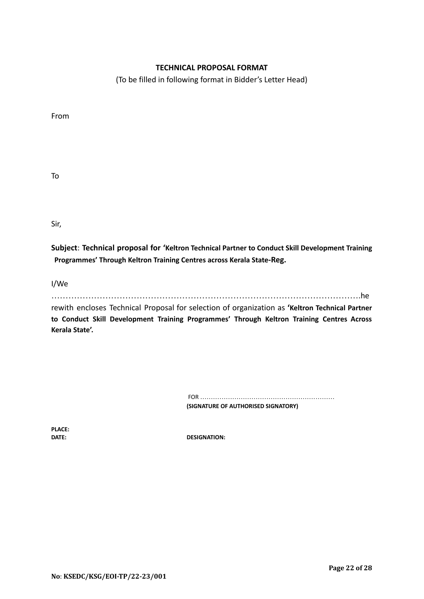# **TECHNICAL PROPOSAL FORMAT**

(To be filled in following format in Bidder's Letter Head)

From

To

Sir,

**Subject**: **Technical proposal for 'Keltron Technical Partner to Conduct Skill Development Training Programmes' Through Keltron Training Centres across Kerala State-Reg.**

I/We

……………………………………………………………………………………………….he

rewith encloses Technical Proposal for selection of organization as **'Keltron Technical Partner to Conduct Skill Development Training Programmes' Through Keltron Training Centres Across Kerala State'.**

> FOR ……………………………………………………… **(SIGNATURE OF AUTHORISED SIGNATORY)**

**PLACE:**

**DATE: DESIGNATION:**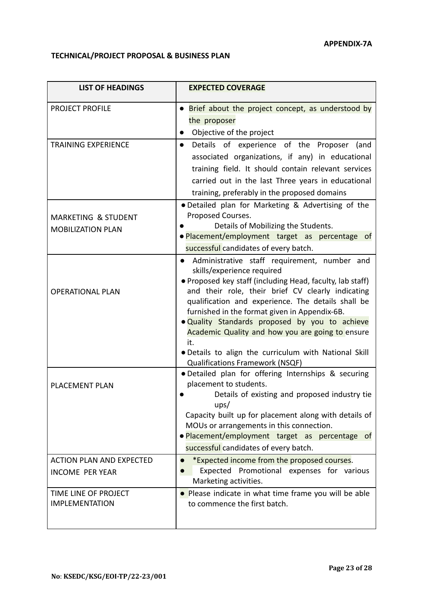# **TECHNICAL/PROJECT PROPOSAL & BUSINESS PLAN**

| <b>LIST OF HEADINGS</b>                                    | <b>EXPECTED COVERAGE</b>                                                                                                                                                                                                                                                                                                                                                                                                                                                                                            |
|------------------------------------------------------------|---------------------------------------------------------------------------------------------------------------------------------------------------------------------------------------------------------------------------------------------------------------------------------------------------------------------------------------------------------------------------------------------------------------------------------------------------------------------------------------------------------------------|
| PROJECT PROFILE                                            | • Brief about the project concept, as understood by<br>the proposer<br>Objective of the project                                                                                                                                                                                                                                                                                                                                                                                                                     |
| <b>TRAINING EXPERIENCE</b>                                 | Details of experience of the Proposer (and<br>$\bullet$<br>associated organizations, if any) in educational<br>training field. It should contain relevant services<br>carried out in the last Three years in educational<br>training, preferably in the proposed domains                                                                                                                                                                                                                                            |
| <b>MARKETING &amp; STUDENT</b><br><b>MOBILIZATION PLAN</b> | • Detailed plan for Marketing & Advertising of the<br>Proposed Courses.<br>Details of Mobilizing the Students.<br>. Placement/employment target as percentage of<br>successful candidates of every batch.                                                                                                                                                                                                                                                                                                           |
| <b>OPERATIONAL PLAN</b>                                    | Administrative staff requirement, number and<br>skills/experience required<br>• Proposed key staff (including Head, faculty, lab staff)<br>and their role, their brief CV clearly indicating<br>qualification and experience. The details shall be<br>furnished in the format given in Appendix-6B.<br>. Quality Standards proposed by you to achieve<br>Academic Quality and how you are going to ensure<br>it.<br>. Details to align the curriculum with National Skill<br><b>Qualifications Framework (NSQF)</b> |
| <b>PLACEMENT PLAN</b>                                      | · Detailed plan for offering Internships & securing<br>placement to students.<br>Details of existing and proposed industry tie<br>ups/<br>Capacity built up for placement along with details of<br>MOUs or arrangements in this connection.<br>·Placement/employment target as percentage of<br>successful candidates of every batch.                                                                                                                                                                               |
| <b>ACTION PLAN AND EXPECTED</b><br><b>INCOME PER YEAR</b>  | *Expected income from the proposed courses.<br>Promotional expenses for various<br>Expected<br>Marketing activities.                                                                                                                                                                                                                                                                                                                                                                                                |
| TIME LINE OF PROJECT<br><b>IMPLEMENTATION</b>              | • Please indicate in what time frame you will be able<br>to commence the first batch.                                                                                                                                                                                                                                                                                                                                                                                                                               |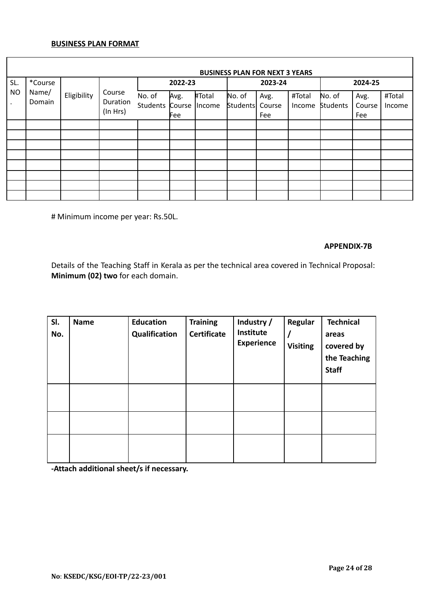## **BUSINESS PLAN FORMAT**

|           | <b>BUSINESS PLAN FOR NEXT 3 YEARS</b> |                      |                    |                 |         |               |                 |         |        |          |        |        |
|-----------|---------------------------------------|----------------------|--------------------|-----------------|---------|---------------|-----------------|---------|--------|----------|--------|--------|
| SL.       | *Course                               | Name/<br>Eligibility |                    |                 | 2022-23 |               |                 | 2023-24 |        | 2024-25  |        |        |
| <b>NO</b> | Domain                                |                      | Course<br>Duration | No. of          | Avg.    | #Total        | No. of          | Avg.    | #Total | No. of   | Avg.   | #Total |
|           |                                       |                      | (In Hrs)           | Students Course |         | <i>Income</i> | <b>Students</b> | Course  | Income | Students | Course | Income |
|           |                                       |                      |                    |                 | Fee     |               |                 | Fee     |        |          | Fee    |        |
|           |                                       |                      |                    |                 |         |               |                 |         |        |          |        |        |
|           |                                       |                      |                    |                 |         |               |                 |         |        |          |        |        |
|           |                                       |                      |                    |                 |         |               |                 |         |        |          |        |        |
|           |                                       |                      |                    |                 |         |               |                 |         |        |          |        |        |
|           |                                       |                      |                    |                 |         |               |                 |         |        |          |        |        |
|           |                                       |                      |                    |                 |         |               |                 |         |        |          |        |        |
|           |                                       |                      |                    |                 |         |               |                 |         |        |          |        |        |
|           |                                       |                      |                    |                 |         |               |                 |         |        |          |        |        |

# Minimum income per year: Rs.50L.

#### **APPENDIX-7B**

Details of the Teaching Staff in Kerala as per the technical area covered in Technical Proposal: **Minimum (02) two** for each domain.

| SI.<br>No. | <b>Name</b> | <b>Education</b><br>Qualification | <b>Training</b><br><b>Certificate</b> | Industry /<br>Institute<br><b>Experience</b> | <b>Regular</b><br><b>Visiting</b> | <b>Technical</b><br>areas<br>covered by<br>the Teaching<br><b>Staff</b> |
|------------|-------------|-----------------------------------|---------------------------------------|----------------------------------------------|-----------------------------------|-------------------------------------------------------------------------|
|            |             |                                   |                                       |                                              |                                   |                                                                         |
|            |             |                                   |                                       |                                              |                                   |                                                                         |
|            |             |                                   |                                       |                                              |                                   |                                                                         |

**-Attach additional sheet/s if necessary.**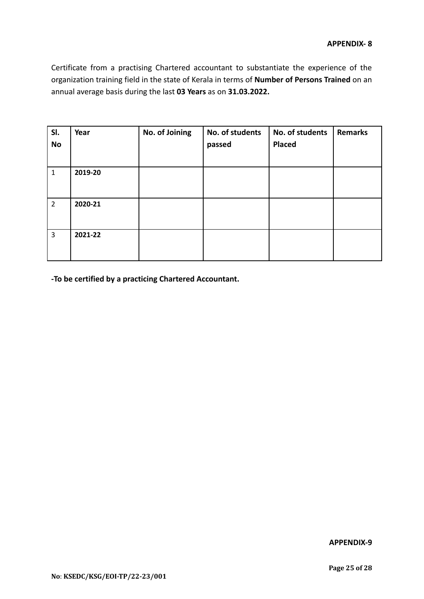Certificate from a practising Chartered accountant to substantiate the experience of the organization training field in the state of Kerala in terms of **Number of Persons Trained** on an annual average basis during the last **03 Years** as on **31.03.2022.**

| SI.<br>No      | Year    | No. of Joining | No. of students<br>passed | No. of students<br><b>Placed</b> | <b>Remarks</b> |
|----------------|---------|----------------|---------------------------|----------------------------------|----------------|
| $\mathbf{1}$   | 2019-20 |                |                           |                                  |                |
| $\overline{2}$ | 2020-21 |                |                           |                                  |                |
| $\overline{3}$ | 2021-22 |                |                           |                                  |                |

**-To be certified by a practicing Chartered Accountant.**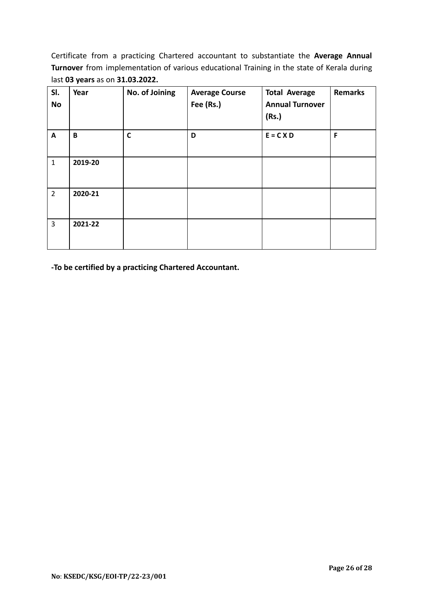Certificate from a practicing Chartered accountant to substantiate the **Average Annual Turnover** from implementation of various educational Training in the state of Kerala during last **03 years** as on **31.03.2022.**

| SI.<br><b>No</b> | Year         | No. of Joining | <b>Average Course</b><br>Fee (Rs.) | <b>Total Average</b><br><b>Annual Turnover</b><br>(Rs.) | <b>Remarks</b> |
|------------------|--------------|----------------|------------------------------------|---------------------------------------------------------|----------------|
| $\mathbf{A}$     | $\, {\bf B}$ | $\mathsf{C}$   | D                                  | $E = C X D$                                             | F              |
| $\mathbf{1}$     | 2019-20      |                |                                    |                                                         |                |
| $\overline{2}$   | 2020-21      |                |                                    |                                                         |                |
| $\overline{3}$   | 2021-22      |                |                                    |                                                         |                |

**-To be certified by a practicing Chartered Accountant.**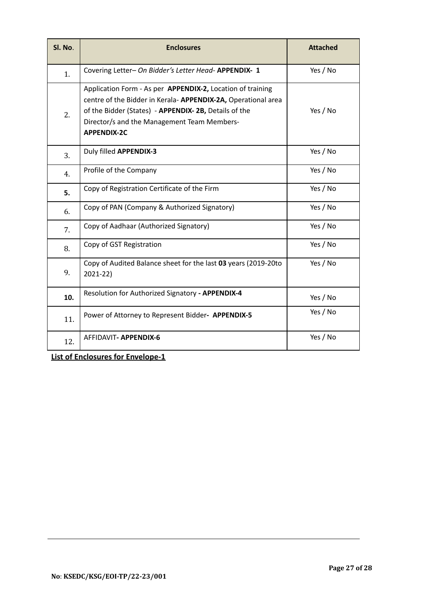| Sl. No. | <b>Enclosures</b>                                                                                                                                                                                                                                       | <b>Attached</b> |
|---------|---------------------------------------------------------------------------------------------------------------------------------------------------------------------------------------------------------------------------------------------------------|-----------------|
| 1.      | Covering Letter- On Bidder's Letter Head- APPENDIX- 1                                                                                                                                                                                                   | Yes / No        |
| 2.      | Application Form - As per APPENDIX-2, Location of training<br>centre of the Bidder in Kerala-APPENDIX-2A, Operational area<br>of the Bidder (States) - APPENDIX-2B, Details of the<br>Director/s and the Management Team Members-<br><b>APPENDIX-2C</b> | Yes / No        |
| 3.      | Duly filled APPENDIX-3                                                                                                                                                                                                                                  | Yes / No        |
| 4.      | Profile of the Company                                                                                                                                                                                                                                  | Yes / No        |
| 5.      | Copy of Registration Certificate of the Firm                                                                                                                                                                                                            | Yes / No        |
| 6.      | Copy of PAN (Company & Authorized Signatory)                                                                                                                                                                                                            | Yes / No        |
| 7.      | Copy of Aadhaar (Authorized Signatory)                                                                                                                                                                                                                  | Yes / No        |
| 8.      | Copy of GST Registration                                                                                                                                                                                                                                | Yes / No        |
| 9.      | Copy of Audited Balance sheet for the last 03 years (2019-20to<br>2021-22)                                                                                                                                                                              | Yes / No        |
| 10.     | Resolution for Authorized Signatory - APPENDIX-4                                                                                                                                                                                                        | Yes / No        |
| 11.     | Power of Attorney to Represent Bidder- APPENDIX-5                                                                                                                                                                                                       | Yes / No        |
| 12.     | AFFIDAVIT- APPENDIX-6                                                                                                                                                                                                                                   | Yes / No        |

**List of Enclosures for Envelope-1**